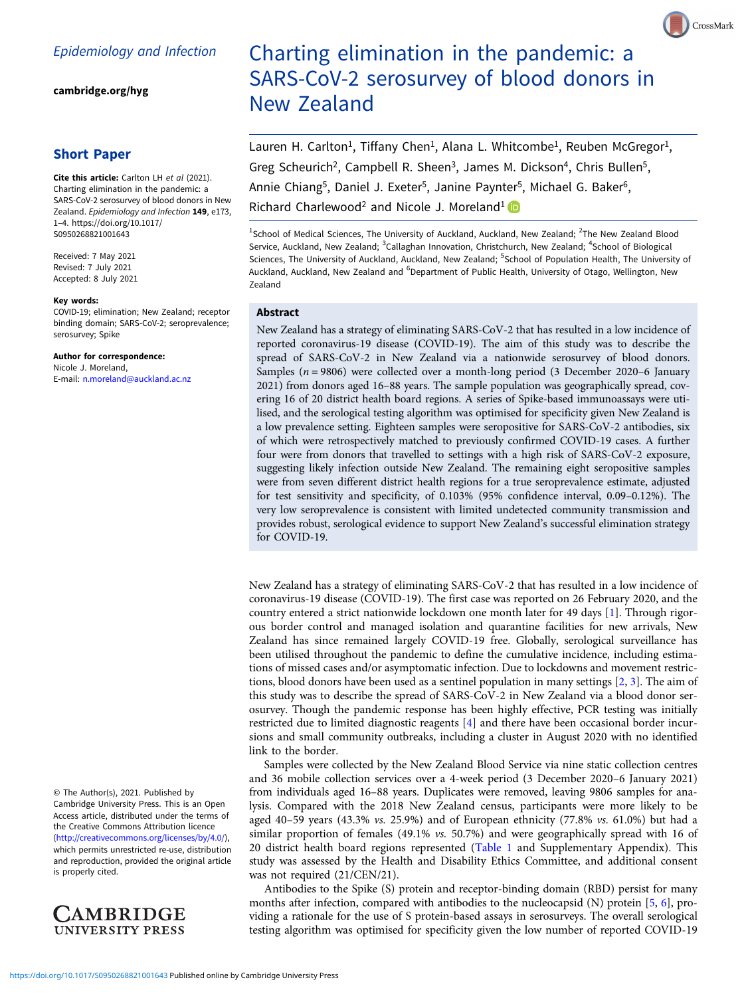[cambridge.org/hyg](https://www.cambridge.org/hyg)

# Short Paper

Cite this article: Carlton LH et al (2021). Charting elimination in the pandemic: a SARS-CoV-2 serosurvey of blood donors in New Zealand. Epidemiology and Infection 149, e173, 1–4. [https://doi.org/10.1017/](https://doi.org/10.1017/S0950268821001643) [S0950268821001643](https://doi.org/10.1017/S0950268821001643)

Received: 7 May 2021 Revised: 7 July 2021 Accepted: 8 July 2021

#### Key words:

COVID-19; elimination; New Zealand; receptor binding domain; SARS-CoV-2; seroprevalence; serosurvey; Spike

Author for correspondence: Nicole J. Moreland, E-mail: [n.moreland@auckland.ac.nz](mailto:n.moreland@auckland.ac.nz)

© The Author(s), 2021. Published by Cambridge University Press. This is an Open Access article, distributed under the terms of the Creative Commons Attribution licence ([http://creativecommons.org/licenses/by/4.0/\)](http://creativecommons.org/licenses/by/4.0/), which permits unrestricted re-use, distribution and reproduction, provided the original article is properly cited.



# Charting elimination in the pandemic: a SARS-CoV-2 serosurvey of blood donors in New Zealand

Lauren H. Carlton<sup>1</sup>, Tiffany Chen<sup>1</sup>, Alana L. Whitcombe<sup>1</sup>, Reuben McGregor<sup>1</sup>, Greg Scheurich<sup>2</sup>, Campbell R. Sheen<sup>3</sup>, James M. Dickson<sup>4</sup>, Chris Bullen<sup>5</sup>, Annie Chiang<sup>5</sup>, Daniel J. Exeter<sup>5</sup>, Janine Paynter<sup>5</sup>, Michael G. Baker<sup>6</sup>, Richard Charlewood<sup>2</sup> and Nicole J. Moreland<sup>1</sup>

<sup>1</sup>School of Medical Sciences, The University of Auckland, Auckland, New Zealand; <sup>2</sup>The New Zealand Blood Service, Auckland, New Zealand; <sup>3</sup>Callaghan Innovation, Christchurch, New Zealand; <sup>4</sup>School of Biological Sciences, The University of Auckland, Auckland, New Zealand; <sup>5</sup>School of Population Health, The University of Auckland, Auckland, New Zealand and <sup>6</sup>Department of Public Health, University of Otago, Wellington, New

## Abstract

Zealand

New Zealand has a strategy of eliminating SARS-CoV-2 that has resulted in a low incidence of reported coronavirus-19 disease (COVID-19). The aim of this study was to describe the spread of SARS-CoV-2 in New Zealand via a nationwide serosurvey of blood donors. Samples ( $n = 9806$ ) were collected over a month-long period (3 December 2020–6 January 2021) from donors aged 16–88 years. The sample population was geographically spread, covering 16 of 20 district health board regions. A series of Spike-based immunoassays were utilised, and the serological testing algorithm was optimised for specificity given New Zealand is a low prevalence setting. Eighteen samples were seropositive for SARS-CoV-2 antibodies, six of which were retrospectively matched to previously confirmed COVID-19 cases. A further four were from donors that travelled to settings with a high risk of SARS-CoV-2 exposure, suggesting likely infection outside New Zealand. The remaining eight seropositive samples were from seven different district health regions for a true seroprevalence estimate, adjusted for test sensitivity and specificity, of 0.103% (95% confidence interval, 0.09–0.12%). The very low seroprevalence is consistent with limited undetected community transmission and provides robust, serological evidence to support New Zealand's successful elimination strategy for COVID-19.

New Zealand has a strategy of eliminating SARS-CoV-2 that has resulted in a low incidence of coronavirus-19 disease (COVID-19). The first case was reported on 26 February 2020, and the country entered a strict nationwide lockdown one month later for 49 days [\[1\]](#page-3-0). Through rigorous border control and managed isolation and quarantine facilities for new arrivals, New Zealand has since remained largely COVID-19 free. Globally, serological surveillance has been utilised throughout the pandemic to define the cumulative incidence, including estimations of missed cases and/or asymptomatic infection. Due to lockdowns and movement restrictions, blood donors have been used as a sentinel population in many settings [\[2,](#page-3-0) [3\]](#page-3-0). The aim of this study was to describe the spread of SARS-CoV-2 in New Zealand via a blood donor serosurvey. Though the pandemic response has been highly effective, PCR testing was initially restricted due to limited diagnostic reagents [[4](#page-3-0)] and there have been occasional border incursions and small community outbreaks, including a cluster in August 2020 with no identified link to the border.

Samples were collected by the New Zealand Blood Service via nine static collection centres and 36 mobile collection services over a 4-week period (3 December 2020–6 January 2021) from individuals aged 16–88 years. Duplicates were removed, leaving 9806 samples for analysis. Compared with the 2018 New Zealand census, participants were more likely to be aged 40-59 years (43.3% vs. 25.9%) and of European ethnicity (77.8% vs. 61.0%) but had a similar proportion of females (49.1% vs. 50.7%) and were geographically spread with 16 of 20 district health board regions represented [\(Table 1](#page-1-0) and Supplementary Appendix). This study was assessed by the Health and Disability Ethics Committee, and additional consent was not required (21/CEN/21).

Antibodies to the Spike (S) protein and receptor-binding domain (RBD) persist for many months after infection, compared with antibodies to the nucleocapsid (N) protein [\[5,](#page-3-0) [6](#page-3-0)], providing a rationale for the use of S protein-based assays in serosurveys. The overall serological testing algorithm was optimised for specificity given the low number of reported COVID-19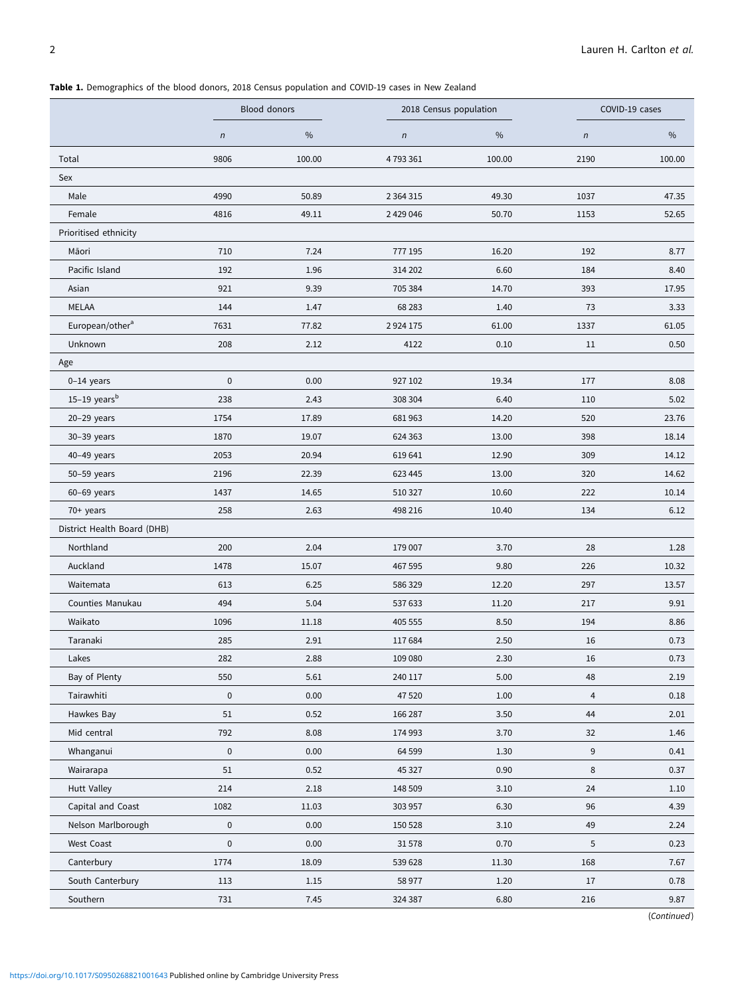<span id="page-1-0"></span>Table 1. Demographics of the blood donors, 2018 Census population and COVID-19 cases in New Zealand

|                             | Blood donors |        | 2018 Census population |        | COVID-19 cases |        |
|-----------------------------|--------------|--------|------------------------|--------|----------------|--------|
|                             | $\sqrt{n}$   | $\%$   | $\sqrt{n}$             | %      | $\sqrt{n}$     | $\%$   |
| Total                       | 9806         | 100.00 | 4793361                | 100.00 | 2190           | 100.00 |
| Sex                         |              |        |                        |        |                |        |
| Male                        | 4990         | 50.89  | 2 3 6 4 3 1 5          | 49.30  | 1037           | 47.35  |
| Female                      | 4816         | 49.11  | 2 429 046              | 50.70  | 1153           | 52.65  |
| Prioritised ethnicity       |              |        |                        |        |                |        |
| Māori                       | 710          | 7.24   | 777 195                | 16.20  | 192            | 8.77   |
| Pacific Island              | 192          | 1.96   | 314 202                | 6.60   | 184            | 8.40   |
| Asian                       | 921          | 9.39   | 705 384                | 14.70  | 393            | 17.95  |
| MELAA                       | 144          | 1.47   | 68 28 3                | 1.40   | 73             | 3.33   |
| European/other <sup>a</sup> | 7631         | 77.82  | 2924175                | 61.00  | 1337           | 61.05  |
| Unknown                     | 208          | 2.12   | 4122                   | 0.10   | 11             | 0.50   |
| Age                         |              |        |                        |        |                |        |
| $0-14$ years                | $\mathbf 0$  | 0.00   | 927 102                | 19.34  | 177            | 8.08   |
| $15-19$ years <sup>b</sup>  | 238          | 2.43   | 308 304                | 6.40   | 110            | 5.02   |
| $20-29$ years               | 1754         | 17.89  | 681963                 | 14.20  | 520            | 23.76  |
| 30-39 years                 | 1870         | 19.07  | 624 363                | 13.00  | 398            | 18.14  |
| $40-49$ years               | 2053         | 20.94  | 619 641                | 12.90  | 309            | 14.12  |
| 50-59 years                 | 2196         | 22.39  | 623 445                | 13.00  | 320            | 14.62  |
| $60-69$ years               | 1437         | 14.65  | 510 327                | 10.60  | 222            | 10.14  |
| 70+ years                   | 258          | 2.63   | 498 216                | 10.40  | 134            | 6.12   |
| District Health Board (DHB) |              |        |                        |        |                |        |
| Northland                   | 200          | 2.04   | 179 007                | 3.70   | 28             | 1.28   |
| Auckland                    | 1478         | 15.07  | 467 595                | 9.80   | 226            | 10.32  |
| Waitemata                   | 613          | 6.25   | 586 329                | 12.20  | 297            | 13.57  |
| Counties Manukau            | 494          | 5.04   | 537 633                | 11.20  | 217            | 9.91   |
| Waikato                     | 1096         | 11.18  | 405 555                | 8.50   | 194            | 8.86   |
| Taranaki                    | 285          | 2.91   | 117684                 | 2.50   | 16             | 0.73   |
| Lakes                       | 282          | 2.88   | 109 080                | 2.30   | 16             | 0.73   |
| Bay of Plenty               | 550          | 5.61   | 240 117                | 5.00   | 48             | 2.19   |
| Tairawhiti                  | $\pmb{0}$    | 0.00   | 47 520                 | 1.00   | $\overline{4}$ | 0.18   |
| Hawkes Bay                  | 51           | 0.52   | 166 287                | 3.50   | 44             | 2.01   |
| Mid central                 | 792          | 8.08   | 174 993                | 3.70   | 32             | 1.46   |
| Whanganui                   | $\pmb{0}$    | 0.00   | 64 599                 | 1.30   | 9              | 0.41   |
| Wairarapa                   | 51           | 0.52   | 45 327                 | 0.90   | 8              | 0.37   |
| <b>Hutt Valley</b>          | 214          | 2.18   | 148 509                | 3.10   | 24             | 1.10   |
| Capital and Coast           | 1082         | 11.03  | 303 957                | 6.30   | 96             | 4.39   |
| Nelson Marlborough          | $\pmb{0}$    | 0.00   | 150 528                | 3.10   | 49             | 2.24   |
| West Coast                  | 0            | 0.00   | 31578                  | 0.70   | 5              | 0.23   |
| Canterbury                  | 1774         | 18.09  | 539 628                | 11.30  | 168            | 7.67   |
| South Canterbury            | 113          | 1.15   | 58 977                 | 1.20   | 17             | 0.78   |
| Southern                    | 731          | 7.45   | 324 387                | 6.80   | 216            | 9.87   |

(Continued)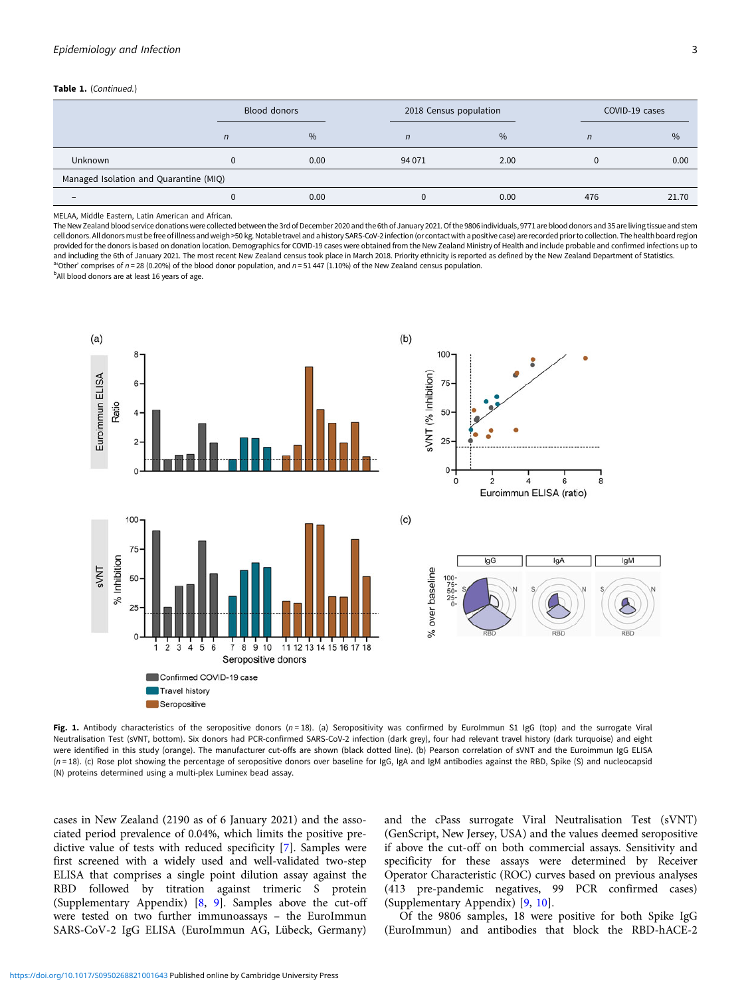#### <span id="page-2-0"></span>Table 1. (Continued.)

|                                        |                | Blood donors | 2018 Census population |      | COVID-19 cases |               |  |  |
|----------------------------------------|----------------|--------------|------------------------|------|----------------|---------------|--|--|
|                                        | $\overline{n}$ | %            | n                      | $\%$ | $\overline{n}$ | $\frac{0}{0}$ |  |  |
| <b>Unknown</b>                         |                | 0.00         | 94 0 71                | 2.00 |                | 0.00          |  |  |
| Managed Isolation and Quarantine (MIQ) |                |              |                        |      |                |               |  |  |
| $\qquad \qquad -$                      |                | 0.00         |                        | 0.00 | 476            | 21.70         |  |  |

MELAA, Middle Eastern, Latin American and African.

The New Zealand blood service donations were collected between the 3rd of December 2020 and the 6th of January 2021. Of the 9806 individuals, 9771 are blood donors and 35 are living tissue and stem cell donors. All donors must befree of illness and weigh >50 kg. Notable travel and a history SARS-CoV-2 infection (orcontact with a positive case) are recorded prior to collection. The health board region provided for the donors is based on donation location. Demographics for COVID-19 cases were obtained from the New Zealand Ministry of Health and include probable and confirmed infections up to and including the 6th of January 2021. The most recent New Zealand census took place in March 2018. Priority ethnicity is reported as defined by the New Zealand Department of Statistics. 'Other' comprises of  $n = 28$  (0.20%) of the blood donor population, and  $n = 51447$  (1.10%) of the New Zealand census population.

<sup>b</sup>All blood donors are at least 16 years of age.



Fig. 1. Antibody characteristics of the seropositive donors  $(n=18)$ . (a) Seropositivity was confirmed by EuroImmun S1 IgG (top) and the surrogate Viral Neutralisation Test (sVNT, bottom). Six donors had PCR-confirmed SARS-CoV-2 infection (dark grey), four had relevant travel history (dark turquoise) and eight were identified in this study (orange). The manufacturer cut-offs are shown (black dotted line). (b) Pearson correlation of sVNT and the Euroimmun IgG ELISA (n = 18). (c) Rose plot showing the percentage of seropositive donors over baseline for IgG, IgA and IgM antibodies against the RBD, Spike (S) and nucleocapsid (N) proteins determined using a multi-plex Luminex bead assay.

cases in New Zealand (2190 as of 6 January 2021) and the associated period prevalence of 0.04%, which limits the positive predictive value of tests with reduced specificity [[7](#page-3-0)]. Samples were first screened with a widely used and well-validated two-step ELISA that comprises a single point dilution assay against the RBD followed by titration against trimeric S protein (Supplementary Appendix) [\[8,](#page-3-0) [9\]](#page-3-0). Samples above the cut-off were tested on two further immunoassays – the EuroImmun SARS-CoV-2 IgG ELISA (EuroImmun AG, Lübeck, Germany)

and the cPass surrogate Viral Neutralisation Test (sVNT) (GenScript, New Jersey, USA) and the values deemed seropositive if above the cut-off on both commercial assays. Sensitivity and specificity for these assays were determined by Receiver Operator Characteristic (ROC) curves based on previous analyses (413 pre-pandemic negatives, 99 PCR confirmed cases) (Supplementary Appendix) [\[9,](#page-3-0) [10](#page-3-0)].

Of the 9806 samples, 18 were positive for both Spike IgG (EuroImmun) and antibodies that block the RBD-hACE-2